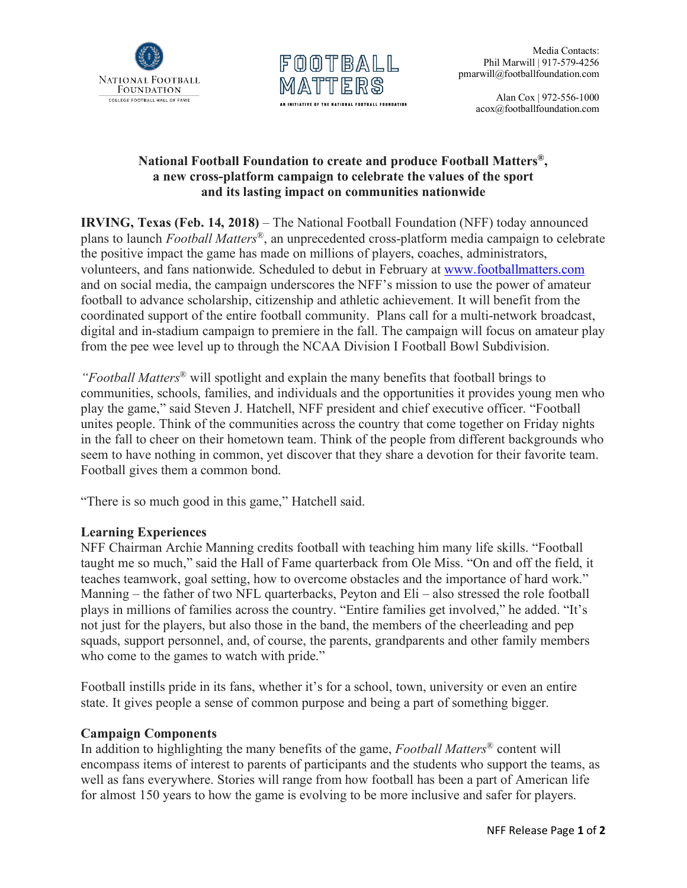



 Alan Cox | 972-556-1000 acox@footballfoundation.com

## **National Football Foundation to create and produce Football Matters®, a new cross-platform campaign to celebrate the values of the sport and its lasting impact on communities nationwide**

**IRVING, Texas (Feb. 14, 2018)** – The National Football Foundation (NFF) today announced plans to launch *Football Matters*®, an unprecedented cross-platform media campaign to celebrate the positive impact the game has made on millions of players, coaches, administrators, volunteers, and fans nationwide. Scheduled to debut in February at www.footballmatters.com and on social media, the campaign underscores the NFF's mission to use the power of amateur football to advance scholarship, citizenship and athletic achievement. It will benefit from the coordinated support of the entire football community. Plans call for a multi-network broadcast, digital and in-stadium campaign to premiere in the fall. The campaign will focus on amateur play from the pee wee level up to through the NCAA Division I Football Bowl Subdivision.

*"Football Matters*® will spotlight and explain the many benefits that football brings to communities, schools, families, and individuals and the opportunities it provides young men who play the game," said Steven J. Hatchell, NFF president and chief executive officer. "Football unites people. Think of the communities across the country that come together on Friday nights in the fall to cheer on their hometown team. Think of the people from different backgrounds who seem to have nothing in common, yet discover that they share a devotion for their favorite team. Football gives them a common bond.

"There is so much good in this game," Hatchell said.

## **Learning Experiences**

NFF Chairman Archie Manning credits football with teaching him many life skills. "Football taught me so much," said the Hall of Fame quarterback from Ole Miss. "On and off the field, it teaches teamwork, goal setting, how to overcome obstacles and the importance of hard work." Manning – the father of two NFL quarterbacks, Peyton and Eli – also stressed the role football plays in millions of families across the country. "Entire families get involved," he added. "It's not just for the players, but also those in the band, the members of the cheerleading and pep squads, support personnel, and, of course, the parents, grandparents and other family members who come to the games to watch with pride."

Football instills pride in its fans, whether it's for a school, town, university or even an entire state. It gives people a sense of common purpose and being a part of something bigger.

## **Campaign Components**

In addition to highlighting the many benefits of the game, *Football Matters*® content will encompass items of interest to parents of participants and the students who support the teams, as well as fans everywhere. Stories will range from how football has been a part of American life for almost 150 years to how the game is evolving to be more inclusive and safer for players.